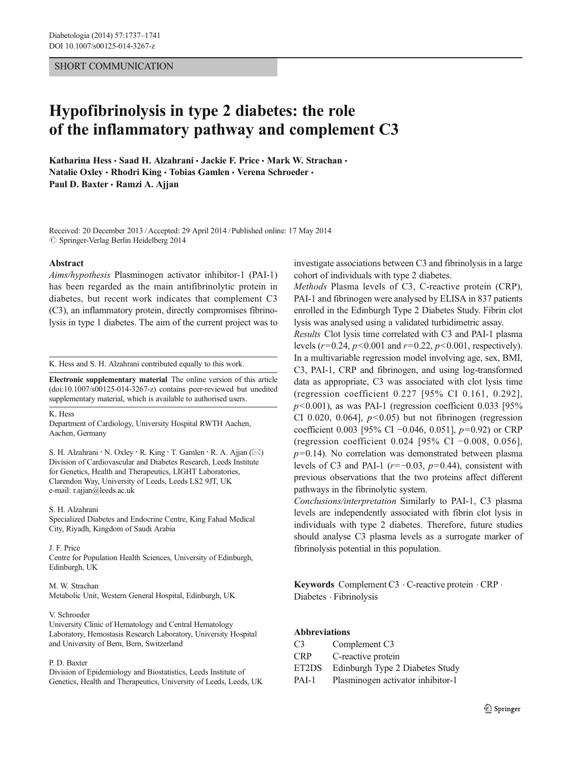# SHORT COMMUNICATION

# Hypofibrinolysis in type 2 diabetes: the role of the inflammatory pathway and complement C3

Katharina Hess · Saad H. Alzahrani · Jackie F. Price · Mark W. Strachan · Natalie Oxley • Rhodri King • Tobias Gamlen • Verena Schroeder • Paul D. Baxter · Ramzi A. Ajjan

Received: 20 December 2013 /Accepted: 29 April 2014 /Published online: 17 May 2014  $\oslash$  Springer-Verlag Berlin Heidelberg 2014

#### Abstract

Aims/hypothesis Plasminogen activator inhibitor-1 (PAI-1) has been regarded as the main antifibrinolytic protein in diabetes, but recent work indicates that complement C3 (C3), an inflammatory protein, directly compromises fibrinolysis in type 1 diabetes. The aim of the current project was to

K. Hess and S. H. Alzahrani contributed equally to this work.

Electronic supplementary material The online version of this article (doi[:10.1007/s00125-014-3267-z\)](http://dx.doi.org/10.1007/s00125-014-3267-z) contains peer-reviewed but unedited supplementary material, which is available to authorised users.

### K. Hess

Department of Cardiology, University Hospital RWTH Aachen, Aachen, Germany

S. H. Alzahrani · N. Oxley · R. King · T. Gamlen · R. A. Ajjan  $(\boxtimes)$ Division of Cardiovascular and Diabetes Research, Leeds Institute for Genetics, Health and Therapeutics, LIGHT Laboratories, Clarendon Way, University of Leeds, Leeds LS2 9JT, UK e-mail: r.ajjan@leeds.ac.uk

#### S. H. Alzahrani

Specialized Diabetes and Endocrine Centre, King Fahad Medical City, Riyadh, Kingdom of Saudi Arabia

#### J. F. Price

Centre for Population Health Sciences, University of Edinburgh, Edinburgh, UK

#### M. W. Strachan

Metabolic Unit, Western General Hospital, Edinburgh, UK

#### V. Schroeder

University Clinic of Hematology and Central Hematology Laboratory, Hemostasis Research Laboratory, University Hospital and University of Bern, Bern, Switzerland

#### P. D. Baxter

Division of Epidemiology and Biostatistics, Leeds Institute of Genetics, Health and Therapeutics, University of Leeds, Leeds, UK investigate associations between C3 and fibrinolysis in a large cohort of individuals with type 2 diabetes.

Methods Plasma levels of C3, C-reactive protein (CRP), PAI-1 and fibrinogen were analysed by ELISA in 837 patients enrolled in the Edinburgh Type 2 Diabetes Study. Fibrin clot lysis was analysed using a validated turbidimetric assay.

Results Clot lysis time correlated with C3 and PAI-1 plasma levels ( $r=0.24$ ,  $p<0.001$  and  $r=0.22$ ,  $p<0.001$ , respectively). In a multivariable regression model involving age, sex, BMI, C3, PAI-1, CRP and fibrinogen, and using log-transformed data as appropriate, C3 was associated with clot lysis time (regression coefficient 0.227 [95% CI 0.161, 0.292],  $p<0.001$ ), as was PAI-1 (regression coefficient 0.033 [95% CI 0.020, 0.064],  $p<0.05$  but not fibrinogen (regression coefficient 0.003 [95% CI −0.046, 0.051],  $p=0.92$ ) or CRP (regression coefficient 0.024 [95% CI −0.008, 0.056],  $p=0.14$ ). No correlation was demonstrated between plasma levels of C3 and PAI-1 ( $r=-0.03$ ,  $p=0.44$ ), consistent with previous observations that the two proteins affect different pathways in the fibrinolytic system.

Conclusions/interpretation Similarly to PAI-1, C3 plasma levels are independently associated with fibrin clot lysis in individuals with type 2 diabetes. Therefore, future studies should analyse C3 plasma levels as a surrogate marker of fibrinolysis potential in this population.

Keywords Complement C3 . C-reactive protein . CRP . Diabetes . Fibrinolysis

## Abbreviations

| Complement C3                     |
|-----------------------------------|
| C-reactive protein                |
| Edinburgh Type 2 Diabetes Study   |
| Plasminogen activator inhibitor-1 |
|                                   |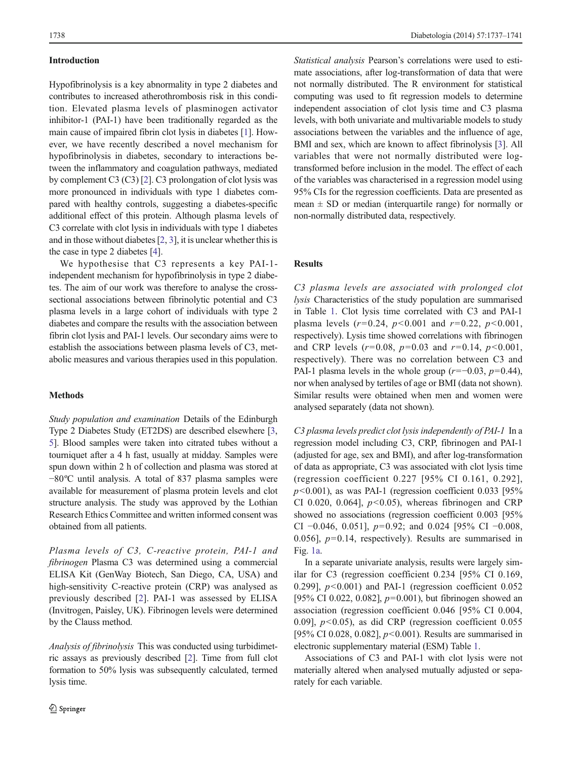## Introduction

Hypofibrinolysis is a key abnormality in type 2 diabetes and contributes to increased atherothrombosis risk in this condition. Elevated plasma levels of plasminogen activator inhibitor-1 (PAI-1) have been traditionally regarded as the main cause of impaired fibrin clot lysis in diabetes [[1\]](#page-3-0). However, we have recently described a novel mechanism for hypofibrinolysis in diabetes, secondary to interactions between the inflammatory and coagulation pathways, mediated by complement C3 (C3) [[2\]](#page-3-0). C3 prolongation of clot lysis was more pronounced in individuals with type 1 diabetes compared with healthy controls, suggesting a diabetes-specific additional effect of this protein. Although plasma levels of C3 correlate with clot lysis in individuals with type 1 diabetes and in those without diabetes [[2,](#page-3-0) [3\]](#page-3-0), it is unclear whether this is the case in type 2 diabetes [\[4](#page-3-0)].

We hypothesise that C3 represents a key PAI-1 independent mechanism for hypofibrinolysis in type 2 diabetes. The aim of our work was therefore to analyse the crosssectional associations between fibrinolytic potential and C3 plasma levels in a large cohort of individuals with type 2 diabetes and compare the results with the association between fibrin clot lysis and PAI-1 levels. Our secondary aims were to establish the associations between plasma levels of C3, metabolic measures and various therapies used in this population.

## Methods

Study population and examination Details of the Edinburgh Type 2 Diabetes Study (ET2DS) are described elsewhere [[3,](#page-3-0) [5\]](#page-3-0). Blood samples were taken into citrated tubes without a tourniquet after a 4 h fast, usually at midday. Samples were spun down within 2 h of collection and plasma was stored at −80ºC until analysis. A total of 837 plasma samples were available for measurement of plasma protein levels and clot structure analysis. The study was approved by the Lothian Research Ethics Committee and written informed consent was obtained from all patients.

Plasma levels of C3, C-reactive protein, PAI-1 and fibrinogen Plasma C3 was determined using a commercial ELISA Kit (GenWay Biotech, San Diego, CA, USA) and high-sensitivity C-reactive protein (CRP) was analysed as previously described [\[2](#page-3-0)]. PAI-1 was assessed by ELISA (Invitrogen, Paisley, UK). Fibrinogen levels were determined by the Clauss method.

Analysis of fibrinolysis This was conducted using turbidimetric assays as previously described [\[2](#page-3-0)]. Time from full clot formation to 50% lysis was subsequently calculated, termed lysis time.

Statistical analysis Pearson's correlations were used to estimate associations, after log-transformation of data that were not normally distributed. The R environment for statistical computing was used to fit regression models to determine independent association of clot lysis time and C3 plasma levels, with both univariate and multivariable models to study associations between the variables and the influence of age, BMI and sex, which are known to affect fibrinolysis [[3](#page-3-0)]. All variables that were not normally distributed were logtransformed before inclusion in the model. The effect of each of the variables was characterised in a regression model using 95% CIs for the regression coefficients. Data are presented as mean  $\pm$  SD or median (interquartile range) for normally or non-normally distributed data, respectively.

# Results

C3 plasma levels are associated with prolonged clot lysis Characteristics of the study population are summarised in Table [1](#page-2-0). Clot lysis time correlated with C3 and PAI-1 plasma levels  $(r=0.24, p<0.001$  and  $r=0.22, p<0.001$ , respectively). Lysis time showed correlations with fibrinogen and CRP levels  $(r=0.08, p=0.03$  and  $r=0.14, p<0.001$ , respectively). There was no correlation between C3 and PAI-1 plasma levels in the whole group ( $r=-0.03$ ,  $p=0.44$ ), nor when analysed by tertiles of age or BMI (data not shown). Similar results were obtained when men and women were analysed separately (data not shown).

C3 plasma levels predict clot lysis independently of PAI-1 In a regression model including C3, CRP, fibrinogen and PAI-1 (adjusted for age, sex and BMI), and after log-transformation of data as appropriate, C3 was associated with clot lysis time (regression coefficient 0.227 [95% CI 0.161, 0.292],  $p<0.001$ ), as was PAI-1 (regression coefficient 0.033 [95% CI 0.020, 0.064],  $p<0.05$ ), whereas fibrinogen and CRP showed no associations (regression coefficient 0.003 [95% CI −0.046, 0.051],  $p=0.92$ ; and 0.024 [95% CI −0.008, 0.056],  $p=0.14$ , respectively). Results are summarised in Fig. [1a](#page-2-0).

In a separate univariate analysis, results were largely similar for C3 (regression coefficient 0.234 [95% CI 0.169, 0.299],  $p<0.001$  and PAI-1 (regression coefficient 0.052 [95% CI 0.022, 0.082],  $p=0.001$ ), but fibrinogen showed an association (regression coefficient 0.046 [95% CI 0.004, 0.09],  $p<0.05$ ), as did CRP (regression coefficient 0.055 [95% CI 0.028, 0.082],  $p<0.001$ ). Results are summarised in electronic supplementary material (ESM) Table 1.

Associations of C3 and PAI-1 with clot lysis were not materially altered when analysed mutually adjusted or separately for each variable.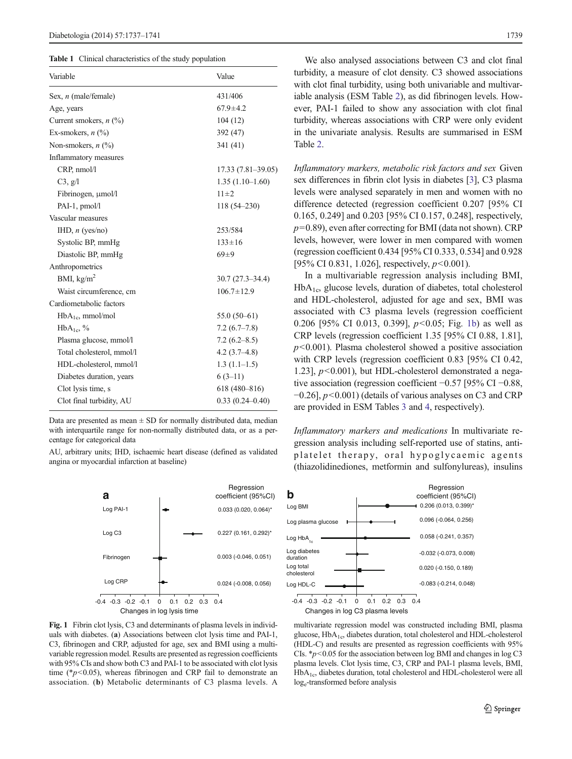<span id="page-2-0"></span>Table 1 Clinical characteristics of the study population

| Variable                                    | Value               |
|---------------------------------------------|---------------------|
| Sex, <i>n</i> (male/female)                 | 431/406             |
| Age, years                                  | $67.9 \pm 4.2$      |
| Current smokers, $n$ (%)                    | 104(12)             |
| Ex-smokers, $n$ $\left(\frac{0}{0}\right)$  | 392 (47)            |
| Non-smokers, $n$ $\left(\frac{9}{0}\right)$ | 341 (41)            |
| Inflammatory measures                       |                     |
| CRP, nmol/l                                 | 17.33 (7.81-39.05)  |
| C3, g/l                                     | $1.35(1.10-1.60)$   |
| Fibrinogen, µmol/l                          | $11 \pm 2$          |
| $PAI-1$ , pmol/l                            | 118 (54-230)        |
| Vascular measures                           |                     |
| IHD, $n$ (yes/no)                           | 253/584             |
| Systolic BP, mmHg                           | $133 \pm 16$        |
| Diastolic BP, mmHg                          | $69+9$              |
| Anthropometrics                             |                     |
| BMI, $kg/m2$                                | $30.7(27.3 - 34.4)$ |
| Waist circumference, cm                     | $106.7 \pm 12.9$    |
| Cardiometabolic factors                     |                     |
| $HbA_{1c}$ , mmol/mol                       | 55.0 $(50-61)$      |
| $HbA_{1c}$ , %                              | $7.2(6.7-7.8)$      |
| Plasma glucose, mmol/l                      | $7.2(6.2 - 8.5)$    |
| Total cholesterol, mmol/l                   | $4.2(3.7-4.8)$      |
| HDL-cholesterol, mmol/l                     | $1.3(1.1-1.5)$      |
| Diabetes duration, years                    | $6(3-11)$           |
| Clot lysis time, s                          | $618(480 - 816)$    |
| Clot final turbidity, AU                    | $0.33(0.24 - 0.40)$ |

Data are presented as mean  $\pm$  SD for normally distributed data, median with interquartile range for non-normally distributed data, or as a percentage for categorical data

AU, arbitrary units; IHD, ischaemic heart disease (defined as validated angina or myocardial infarction at baseline)



Fig. 1 Fibrin clot lysis, C3 and determinants of plasma levels in individuals with diabetes. (a) Associations between clot lysis time and PAI-1, C3, fibrinogen and CRP, adjusted for age, sex and BMI using a multivariable regression model. Results are presented as regression coefficients with 95% CIs and show both C3 and PAI-1 to be associated with clot lysis time ( $\frac{*p}{0.05}$ ), whereas fibrinogen and CRP fail to demonstrate an association. (b) Metabolic determinants of C3 plasma levels. A

We also analysed associations between C3 and clot final turbidity, a measure of clot density. C3 showed associations with clot final turbidity, using both univariable and multivariable analysis (ESM Table 2), as did fibrinogen levels. However, PAI-1 failed to show any association with clot final turbidity, whereas associations with CRP were only evident in the univariate analysis. Results are summarised in ESM Table 2.

Inflammatory markers, metabolic risk factors and sex Given sex differences in fibrin clot lysis in diabetes [[3\]](#page-3-0), C3 plasma levels were analysed separately in men and women with no difference detected (regression coefficient 0.207 [95% CI 0.165, 0.249] and 0.203 [95% CI 0.157, 0.248], respectively,  $p=0.89$ ), even after correcting for BMI (data not shown). CRP levels, however, were lower in men compared with women (regression coefficient 0.434 [95% CI 0.333, 0.534] and 0.928 [95% CI 0.831, 1.026], respectively,  $p < 0.001$ ).

In a multivariable regression analysis including BMI,  $HbA_{1c}$ , glucose levels, duration of diabetes, total cholesterol and HDL-cholesterol, adjusted for age and sex, BMI was associated with C3 plasma levels (regression coefficient 0.206 [95% CI 0.013, 0.399],  $p<0.05$ ; Fig. 1b) as well as CRP levels (regression coefficient 1.35 [95% CI 0.88, 1.81],  $p$ <0.001). Plasma cholesterol showed a positive association with CRP levels (regression coefficient 0.83 [95% CI 0.42, 1.23],  $p<0.001$ ), but HDL-cholesterol demonstrated a negative association (regression coefficient −0.57 [95% CI −0.88,  $-0.26$ ],  $p<0.001$ ) (details of various analyses on C3 and CRP are provided in ESM Tables 3 and 4, respectively).

Inflammatory markers and medications In multivariate regression analysis including self-reported use of statins, antiplatelet therapy, oral hypoglycaemic agents (thiazolidinediones, metformin and sulfonylureas), insulins



multivariate regression model was constructed including BMI, plasma glucose, HbA1c, diabetes duration, total cholesterol and HDL-cholesterol (HDL-C) and results are presented as regression coefficients with 95% CIs.  $* p<0.05$  for the association between log BMI and changes in log C3 plasma levels. Clot lysis time, C3, CRP and PAI-1 plasma levels, BMI, HbA1c, diabetes duration, total cholesterol and HDL-cholesterol were all log<sub>e</sub>-transformed before analysis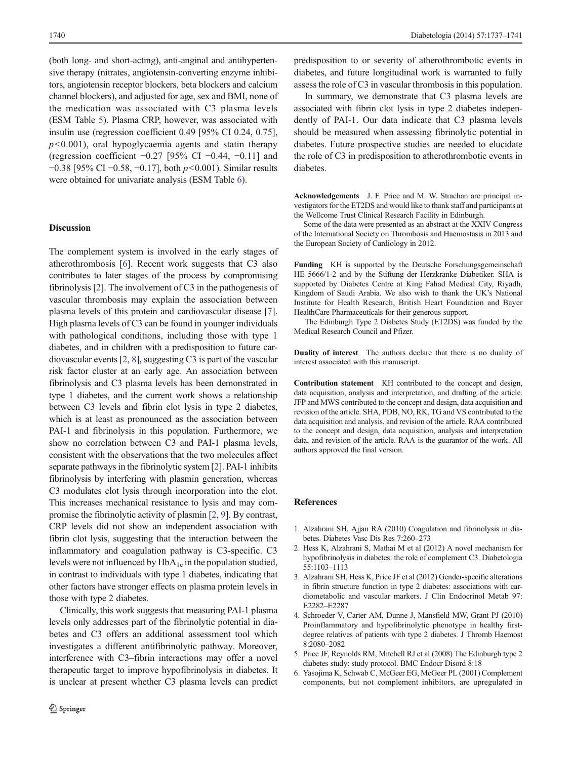<span id="page-3-0"></span>(both long- and short-acting), anti-anginal and antihypertensive therapy (nitrates, angiotensin-converting enzyme inhibitors, angiotensin receptor blockers, beta blockers and calcium channel blockers), and adjusted for age, sex and BMI, none of the medication was associated with C3 plasma levels (ESM Table 5). Plasma CRP, however, was associated with insulin use (regression coefficient 0.49 [95% CI 0.24, 0.75],  $p<0.001$ ), oral hypoglycaemia agents and statin therapy (regression coefficient  $-0.27$  [95% CI  $-0.44$ ,  $-0.11$ ] and −0.38 [95% CI −0.58, −0.17], both p<0.001). Similar results were obtained for univariate analysis (ESM Table 6).

## **Discussion**

The complement system is involved in the early stages of atherothrombosis [6]. Recent work suggests that C3 also contributes to later stages of the process by compromising fibrinolysis [2]. The involvement of C3 in the pathogenesis of vascular thrombosis may explain the association between plasma levels of this protein and cardiovascular disease [[7\]](#page-4-0). High plasma levels of C3 can be found in younger individuals with pathological conditions, including those with type 1 diabetes, and in children with a predisposition to future cardiovascular events [2, [8](#page-4-0)], suggesting C3 is part of the vascular risk factor cluster at an early age. An association between fibrinolysis and C3 plasma levels has been demonstrated in type 1 diabetes, and the current work shows a relationship between C3 levels and fibrin clot lysis in type 2 diabetes, which is at least as pronounced as the association between PAI-1 and fibrinolysis in this population. Furthermore, we show no correlation between C3 and PAI-1 plasma levels, consistent with the observations that the two molecules affect separate pathways in the fibrinolytic system [2]. PAI-1 inhibits fibrinolysis by interfering with plasmin generation, whereas C3 modulates clot lysis through incorporation into the clot. This increases mechanical resistance to lysis and may compromise the fibrinolytic activity of plasmin [2, [9\]](#page-4-0). By contrast, CRP levels did not show an independent association with fibrin clot lysis, suggesting that the interaction between the inflammatory and coagulation pathway is C3-specific. C3 levels were not influenced by  $HbA_{1c}$  in the population studied, in contrast to individuals with type 1 diabetes, indicating that other factors have stronger effects on plasma protein levels in those with type 2 diabetes.

Clinically, this work suggests that measuring PAI-1 plasma levels only addresses part of the fibrinolytic potential in diabetes and C3 offers an additional assessment tool which investigates a different antifibrinolytic pathway. Moreover, interference with C3–fibrin interactions may offer a novel therapeutic target to improve hypofibrinolysis in diabetes. It is unclear at present whether C3 plasma levels can predict

predisposition to or severity of atherothrombotic events in diabetes, and future longitudinal work is warranted to fully assess the role of C3 in vascular thrombosis in this population.

In summary, we demonstrate that C3 plasma levels are associated with fibrin clot lysis in type 2 diabetes independently of PAI-1. Our data indicate that C3 plasma levels should be measured when assessing fibrinolytic potential in diabetes. Future prospective studies are needed to elucidate the role of C3 in predisposition to atherothrombotic events in diabetes.

Acknowledgements J. F. Price and M. W. Strachan are principal investigators for the ET2DS and would like to thank staff and participants at the Wellcome Trust Clinical Research Facility in Edinburgh.

Some of the data were presented as an abstract at the XXIV Congress of the International Society on Thrombosis and Haemostasis in 2013 and the European Society of Cardiology in 2012.

Funding KH is supported by the Deutsche Forschungsgemeinschaft HE 5666/1-2 and by the Stiftung der Herzkranke Diabetiker. SHA is supported by Diabetes Centre at King Fahad Medical City, Riyadh, Kingdom of Saudi Arabia. We also wish to thank the UK's National Institute for Health Research, British Heart Foundation and Bayer HealthCare Pharmaceuticals for their generous support.

The Edinburgh Type 2 Diabetes Study (ET2DS) was funded by the Medical Research Council and Pfizer.

Duality of interest The authors declare that there is no duality of interest associated with this manuscript.

Contribution statement KH contributed to the concept and design, data acquisition, analysis and interpretation, and drafting of the article. JFP and MWS contributed to the concept and design, data acquisition and revision of the article. SHA, PDB, NO, RK, TG and VS contributed to the data acquisition and analysis, and revision of the article. RAA contributed to the concept and design, data acquisition, analysis and interpretation data, and revision of the article. RAA is the guarantor of the work. All authors approved the final version.

#### References

- 1. Alzahrani SH, Ajjan RA (2010) Coagulation and fibrinolysis in diabetes. Diabetes Vasc Dis Res 7:260–273
- 2. Hess K, Alzahrani S, Mathai M et al (2012) A novel mechanism for hypofibrinolysis in diabetes: the role of complement C3. Diabetologia 55:1103–1113
- 3. Alzahrani SH, Hess K, Price JF et al (2012) Gender-specific alterations in fibrin structure function in type 2 diabetes: associations with cardiometabolic and vascular markers. J Clin Endocrinol Metab 97: E2282–E2287
- 4. Schroeder V, Carter AM, Dunne J, Mansfield MW, Grant PJ (2010) Proinflammatory and hypofibrinolytic phenotype in healthy firstdegree relatives of patients with type 2 diabetes. J Thromb Haemost 8:2080–2082
- 5. Price JF, Reynolds RM, Mitchell RJ et al (2008) The Edinburgh type 2 diabetes study: study protocol. BMC Endocr Disord 8:18
- 6. Yasojima K, Schwab C, McGeer EG, McGeer PL (2001) Complement components, but not complement inhibitors, are upregulated in